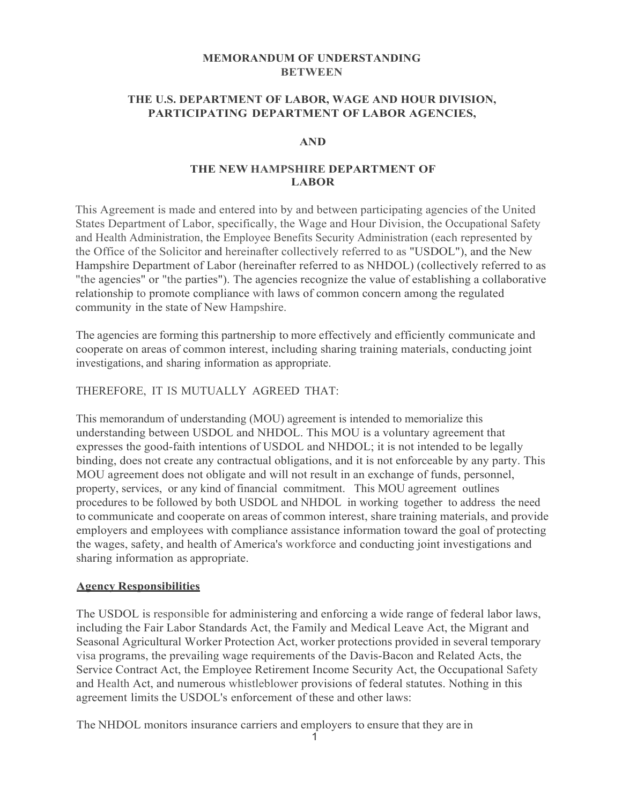### **MEMORANDUM OF UNDERSTANDING BETWEEN**

#### **THE U.S. DEPARTMENT OF LABOR, WAGE AND HOUR DIVISION, PARTICIPATING DEPARTMENT OF LABOR AGENCIES,**

#### **AND**

#### **THE NEW HAMPSHIRE DEPARTMENT OF LABOR**

This Agreement is made and entered into by and between participating agencies of the United States Department of Labor, specifically, the Wage and Hour Division, the Occupational Safety and Health Administration, the Employee Benefits Security Administration (each represented by the Office of the Solicitor and hereinafter collectively referred to as "USDOL"), and the New Hampshire Department of Labor (hereinafter referred to as NHDOL) (collectively referred to as "the agencies" or "the parties"). The agencies recognize the value of establishing a collaborative relationship to promote compliance with laws of common concern among the regulated community in the state of New Hampshire.

The agencies are forming this partnership to more effectively and efficiently communicate and cooperate on areas of common interest, including sharing training materials, conducting joint investigations, and sharing information as appropriate.

#### THEREFORE, IT IS MUTUALLY AGREED THAT:

This memorandum of understanding (MOU) agreement is intended to memorialize this understanding between USDOL and NHDOL. This MOU is a voluntary agreement that expresses the good-faith intentions of USDOL and NHDOL; it is not intended to be legally binding, does not create any contractual obligations, and it is not enforceable by any party. This MOU agreement does not obligate and will not result in an exchange of funds, personnel, property, services, or any kind of financial commitment. This MOU agreement outlines procedures to be followed by both USDOL and NHDOL in working together to address the need to communicate and cooperate on areas of common interest, share training materials, and provide employers and employees with compliance assistance information toward the goal of protecting the wages, safety, and health of America's workforce and conducting joint investigations and sharing information as appropriate.

#### **Agency Responsibilities**

The USDOL is responsible for administering and enforcing a wide range of federal labor laws, including the Fair Labor Standards Act, the Family and Medical Leave Act, the Migrant and Seasonal Agricultural Worker Protection Act, worker protections provided in several temporary visa programs, the prevailing wage requirements of the Davis-Bacon and Related Acts, the Service Contract Act, the Employee Retirement Income Security Act, the Occupational Safety and Health Act, and numerous whistleblower provisions of federal statutes. Nothing in this agreement limits the USDOL's enforcement of these and other laws:

The NHDOL monitors insurance carriers and employers to ensure that they are in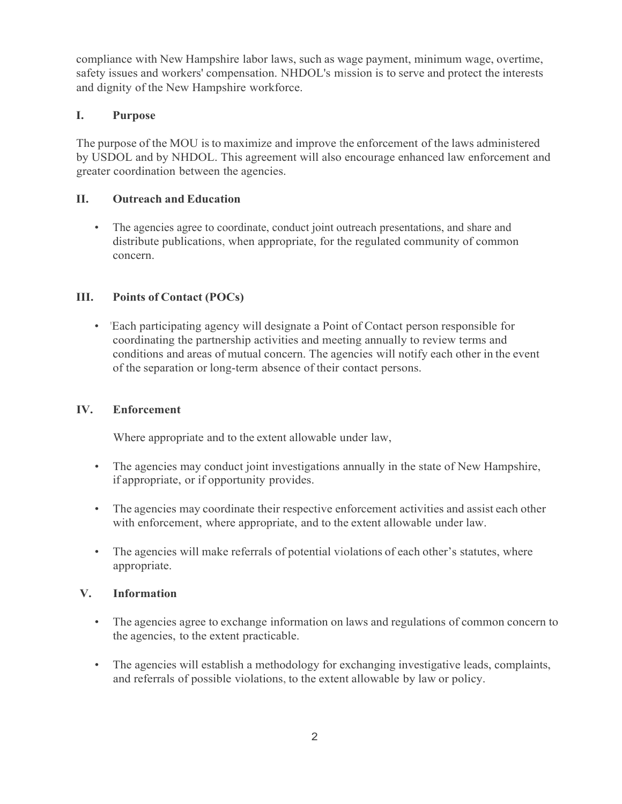compliance with New Hampshire labor laws, such as wage payment, minimum wage, overtime, safety issues and workers' compensation. NHDOL's mission is to serve and protect the interests and dignity of the New Hampshire workforce.

# **I. Purpose**

The purpose of the MOU is to maximize and improve the enforcement of the laws administered by USDOL and by NHDOL. This agreement will also encourage enhanced law enforcement and greater coordination between the agencies.

# **II. Outreach and Education**

• The agencies agree to coordinate, conduct joint outreach presentations, and share and distribute publications, when appropriate, for the regulated community of common concern.

# **III. Points of Contact (POCs)**

• 'Each participating agency will designate a Point of Contact person responsible for coordinating the partnership activities and meeting annually to review terms and conditions and areas of mutual concern. The agencies will notify each other in the event of the separation or long-term absence of their contact persons.

### **IV. Enforcement**

Where appropriate and to the extent allowable under law,

- The agencies may conduct joint investigations annually in the state of New Hampshire, if appropriate, or if opportunity provides.
- The agencies may coordinate their respective enforcement activities and assist each other with enforcement, where appropriate, and to the extent allowable under law.
- The agencies will make referrals of potential violations of each other's statutes, where appropriate.

### **V. Information**

- The agencies agree to exchange information on laws and regulations of common concern to the agencies, to the extent practicable.
- The agencies will establish a methodology for exchanging investigative leads, complaints, and referrals of possible violations, to the extent allowable by law or policy.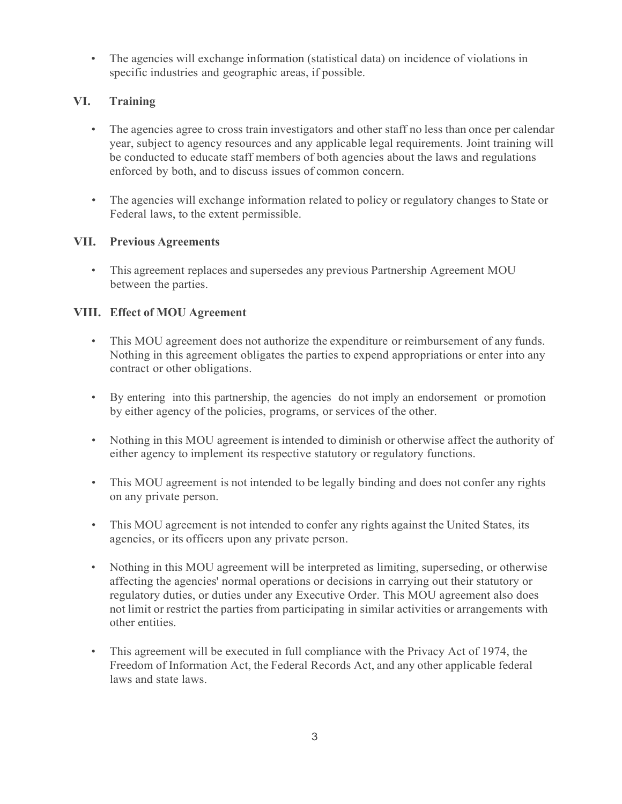• The agencies will exchange information (statistical data) on incidence of violations in specific industries and geographic areas, if possible.

# **VI. Training**

- The agencies agree to cross train investigators and other staff no less than once per calendar year, subject to agency resources and any applicable legal requirements. Joint training will be conducted to educate staff members of both agencies about the laws and regulations enforced by both, and to discuss issues of common concern.
- The agencies will exchange information related to policy or regulatory changes to State or Federal laws, to the extent permissible.

# **VII. Previous Agreements**

• This agreement replaces and supersedes any previous Partnership Agreement MOU between the parties.

# **VIII. Effect of MOU Agreement**

- This MOU agreement does not authorize the expenditure or reimbursement of any funds. Nothing in this agreement obligates the parties to expend appropriations or enter into any contract or other obligations.
- By entering into this partnership, the agencies do not imply an endorsement or promotion by either agency of the policies, programs, or services of the other.
- Nothing in this MOU agreement is intended to diminish or otherwise affect the authority of either agency to implement its respective statutory or regulatory functions.
- This MOU agreement is not intended to be legally binding and does not confer any rights on any private person.
- This MOU agreement is not intended to confer any rights against the United States, its agencies, or its officers upon any private person.
- Nothing in this MOU agreement will be interpreted as limiting, superseding, or otherwise affecting the agencies' normal operations or decisions in carrying out their statutory or regulatory duties, or duties under any Executive Order. This MOU agreement also does not limit or restrict the parties from participating in similar activities or arrangements with other entities.
- This agreement will be executed in full compliance with the Privacy Act of 1974, the Freedom of Information Act, the Federal Records Act, and any other applicable federal laws and state laws.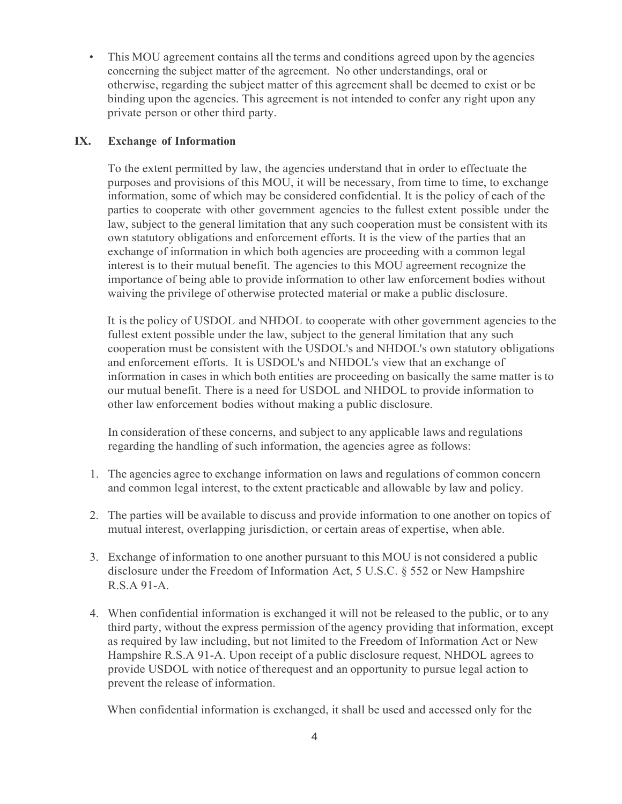This MOU agreement contains all the terms and conditions agreed upon by the agencies concerning the subject matter of the agreement. No other understandings, oral or otherwise, regarding the subject matter of this agreement shall be deemed to exist or be binding upon the agencies. This agreement is not intended to confer any right upon any private person or other third party.

#### **IX. Exchange of Information**

To the extent permitted by law, the agencies understand that in order to effectuate the purposes and provisions of this MOU, it will be necessary, from time to time, to exchange information, some of which may be considered confidential. It is the policy of each of the parties to cooperate with other government agencies to the fullest extent possible under the law, subject to the general limitation that any such cooperation must be consistent with its own statutory obligations and enforcement efforts. It is the view of the parties that an exchange of information in which both agencies are proceeding with a common legal interest is to their mutual benefit. The agencies to this MOU agreement recognize the importance of being able to provide information to other law enforcement bodies without waiving the privilege of otherwise protected material or make a public disclosure.

It is the policy of USDOL and NHDOL to cooperate with other government agencies to the fullest extent possible under the law, subject to the general limitation that any such cooperation must be consistent with the USDOL's and NHDOL's own statutory obligations and enforcement efforts. It is USDOL's and NHDOL's view that an exchange of information in cases in which both entities are proceeding on basically the same matter is to our mutual benefit. There is a need for USDOL and NHDOL to provide information to other law enforcement bodies without making a public disclosure.

In consideration of these concerns, and subject to any applicable laws and regulations regarding the handling of such information, the agencies agree as follows:

- 1. The agencies agree to exchange information on laws and regulations of common concern and common legal interest, to the extent practicable and allowable by law and policy.
- 2. The parties will be available to discuss and provide information to one another on topics of mutual interest, overlapping jurisdiction, or certain areas of expertise, when able.
- 3. Exchange of information to one another pursuant to this MOU is not considered a public disclosure under the Freedom of Information Act, 5 U.S.C. § 552 or New Hampshire R.S.A 91-A.
- 4. When confidential information is exchanged it will not be released to the public, or to any third party, without the express permission of the agency providing that information, except as required by law including, but not limited to the Freedom of Information Act or New Hampshire R.S.A 91-A. Upon receipt of a public disclosure request, NHDOL agrees to provide USDOL with notice of therequest and an opportunity to pursue legal action to prevent the release of information.

When confidential information is exchanged, it shall be used and accessed only for the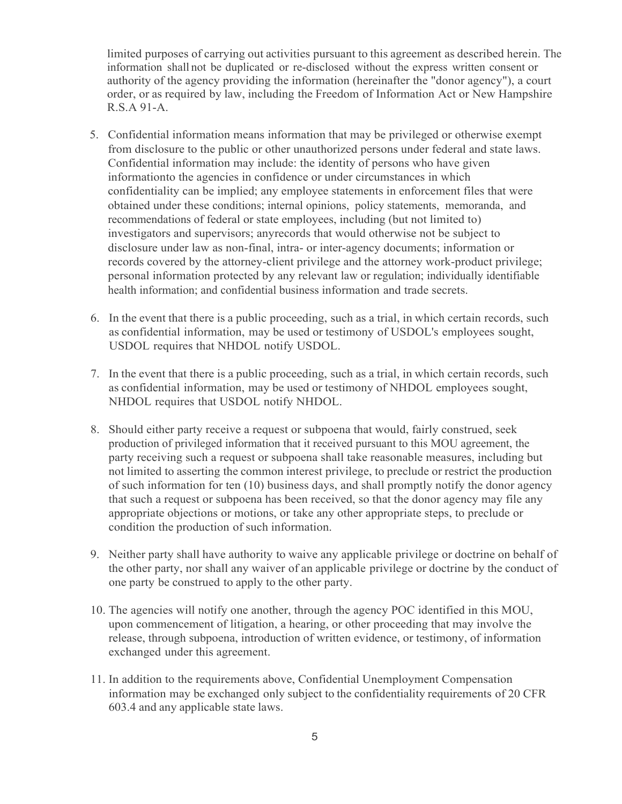limited purposes of carrying out activities pursuant to this agreement as described herein. The information shall not be duplicated or re-disclosed without the express written consent or authority of the agency providing the information (hereinafter the "donor agency"), a court order, or as required by law, including the Freedom of Information Act or New Hampshire R.S.A 91-A.

- 5. Confidential information means information that may be privileged or otherwise exempt from disclosure to the public or other unauthorized persons under federal and state laws. Confidential information may include: the identity of persons who have given informationto the agencies in confidence or under circumstances in which confidentiality can be implied; any employee statements in enforcement files that were obtained under these conditions; internal opinions, policy statements, memoranda, and recommendations of federal or state employees, including (but not limited to) investigators and supervisors; anyrecords that would otherwise not be subject to disclosure under law as non-final, intra- or inter-agency documents; information or records covered by the attorney-client privilege and the attorney work-product privilege; personal information protected by any relevant law or regulation; individually identifiable health information; and confidential business information and trade secrets.
- 6. In the event that there is a public proceeding, such as a trial, in which certain records, such as confidential information, may be used or testimony of USDOL's employees sought, USDOL requires that NHDOL notify USDOL.
- 7. In the event that there is a public proceeding, such as a trial, in which certain records, such as confidential information, may be used or testimony of NHDOL employees sought, NHDOL requires that USDOL notify NHDOL.
- 8. Should either party receive a request or subpoena that would, fairly construed, seek production of privileged information that it received pursuant to this MOU agreement, the party receiving such a request or subpoena shall take reasonable measures, including but not limited to asserting the common interest privilege, to preclude or restrict the production of such information for ten (10) business days, and shall promptly notify the donor agency that such a request or subpoena has been received, so that the donor agency may file any appropriate objections or motions, or take any other appropriate steps, to preclude or condition the production of such information.
- 9. Neither party shall have authority to waive any applicable privilege or doctrine on behalf of the other party, nor shall any waiver of an applicable privilege or doctrine by the conduct of one party be construed to apply to the other party.
- 10. The agencies will notify one another, through the agency POC identified in this MOU, upon commencement of litigation, a hearing, or other proceeding that may involve the release, through subpoena, introduction of written evidence, or testimony, of information exchanged under this agreement.
- 11. In addition to the requirements above, Confidential Unemployment Compensation information may be exchanged only subject to the confidentiality requirements of 20 CFR 603.4 and any applicable state laws.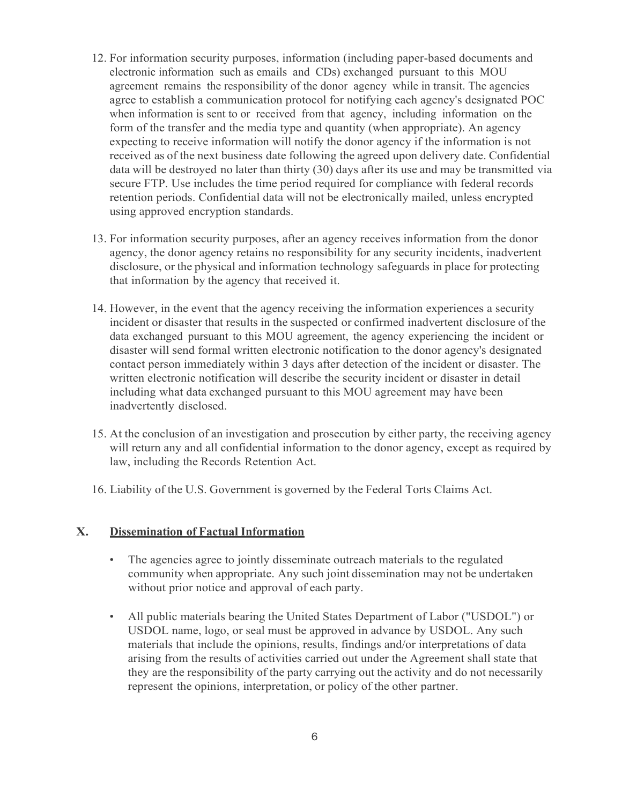- 12. For information security purposes, information (including paper-based documents and electronic information such as emails and CDs) exchanged pursuant to this MOU agreement remains the responsibility of the donor agency while in transit. The agencies agree to establish a communication protocol for notifying each agency's designated POC when information is sent to or received from that agency, including information on the form of the transfer and the media type and quantity (when appropriate). An agency expecting to receive information will notify the donor agency if the information is not received as of the next business date following the agreed upon delivery date. Confidential data will be destroyed no later than thirty (30) days after its use and may be transmitted via secure FTP. Use includes the time period required for compliance with federal records retention periods. Confidential data will not be electronically mailed, unless encrypted using approved encryption standards.
- 13. For information security purposes, after an agency receives information from the donor agency, the donor agency retains no responsibility for any security incidents, inadvertent disclosure, or the physical and information technology safeguards in place for protecting that information by the agency that received it.
- 14. However, in the event that the agency receiving the information experiences a security incident or disaster that results in the suspected or confirmed inadvertent disclosure of the data exchanged pursuant to this MOU agreement, the agency experiencing the incident or disaster will send formal written electronic notification to the donor agency's designated contact person immediately within 3 days after detection of the incident or disaster. The written electronic notification will describe the security incident or disaster in detail including what data exchanged pursuant to this MOU agreement may have been inadvertently disclosed.
- 15. At the conclusion of an investigation and prosecution by either party, the receiving agency will return any and all confidential information to the donor agency, except as required by law, including the Records Retention Act.
- 16. Liability of the U.S. Government is governed by the Federal Torts Claims Act.

#### **X. Dissemination of Factual Information**

- The agencies agree to jointly disseminate outreach materials to the regulated community when appropriate. Any such joint dissemination may not be undertaken without prior notice and approval of each party.
- All public materials bearing the United States Department of Labor ("USDOL") or USDOL name, logo, or seal must be approved in advance by USDOL. Any such materials that include the opinions, results, findings and/or interpretations of data arising from the results of activities carried out under the Agreement shall state that they are the responsibility of the party carrying out the activity and do not necessarily represent the opinions, interpretation, or policy of the other partner.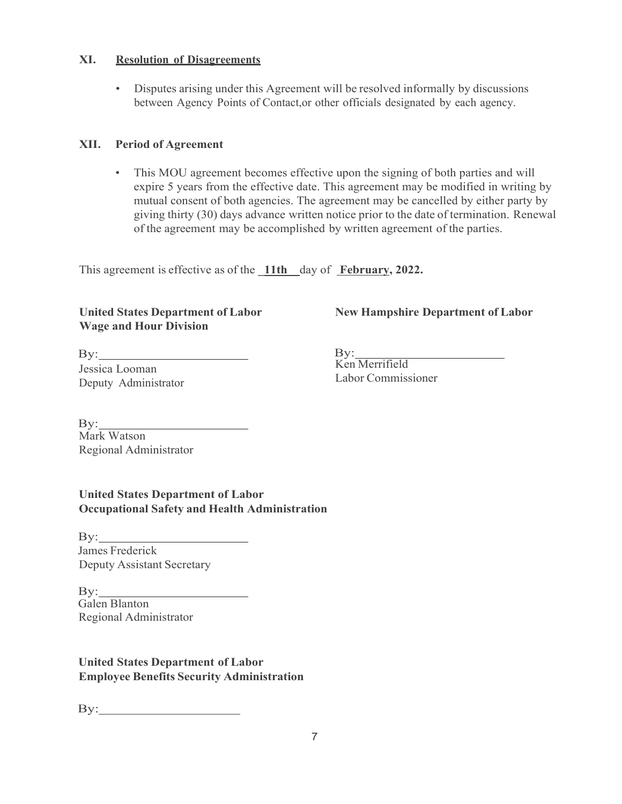#### **XI. Resolution of Disagreements**

• Disputes arising under this Agreement will be resolved informally by discussions between Agency Points of Contact,or other officials designated by each agency.

# **XII. Period of Agreement**

• This MOU agreement becomes effective upon the signing of both parties and will expire 5 years from the effective date. This agreement may be modified in writing by mutual consent of both agencies. The agreement may be cancelled by either party by giving thirty (30) days advance written notice prior to the date of termination. Renewal of the agreement may be accomplished by written agreement of the parties.

This agreement is effective as of the **\_11th\_\_**day of **February, 2022.**

### **United States Department of Labor Wage and Hour Division**

**New Hampshire Department of Labor**

By: Jessica Looman Deputy Administrator

By: Ken Merrifield Labor Commissioner

By: Mark Watson Regional Administrator

**United States Department of Labor Occupational Safety and Health Administration**

By: James Frederick Deputy Assistant Secretary

By: Galen Blanton Regional Administrator

**United States Department of Labor Employee Benefits Security Administration**

 $\mathbf{By:}$